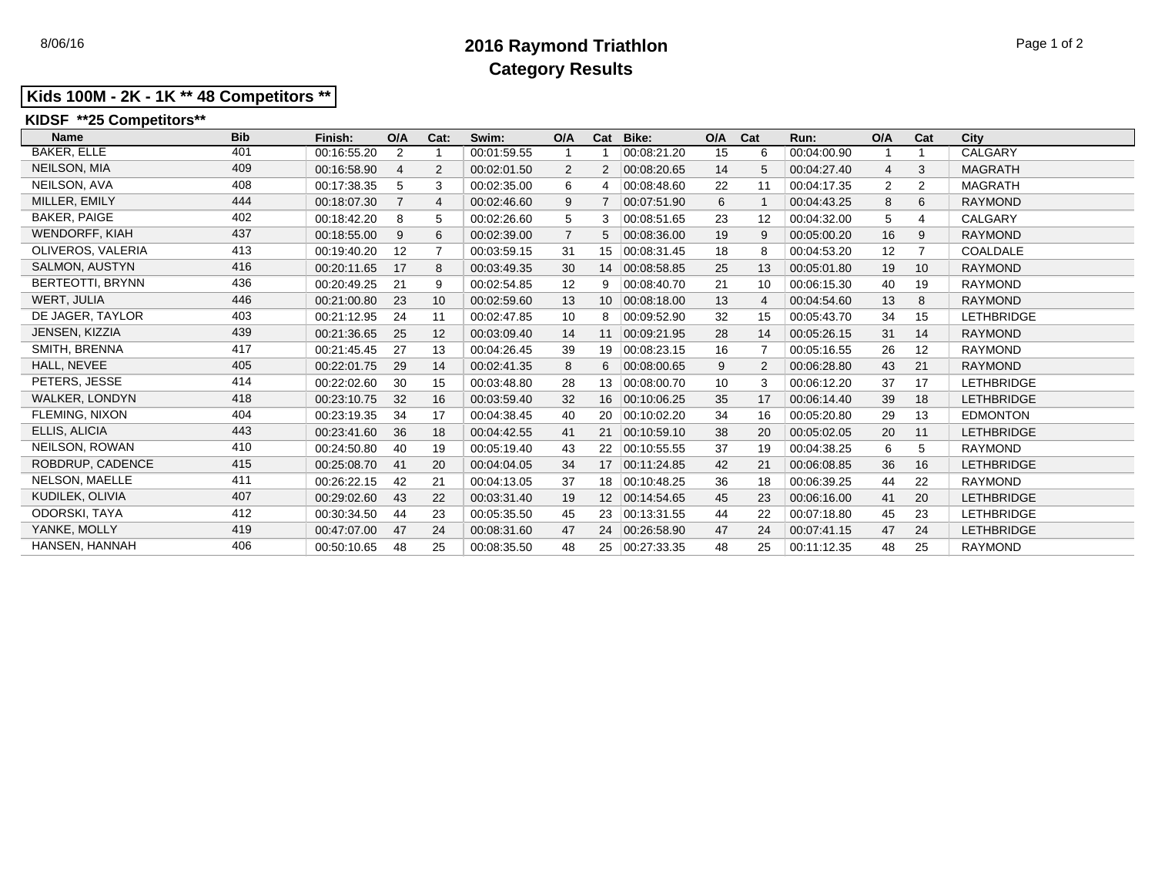# 8/06/16 **2016 Raymond Triathlon** Page 1 of 2 **Category Results**

## **Kids 100M - 2K - 1K \*\* 48 Competitors \*\***

## **KIDSF \*\*25 Competitors\*\***

| <b>Name</b><br><b>Bib</b>    | Finish:     | O/A            | Cat:           | Swim:       | O/A | Cat | Bike:          | O/A | Cat | Run:        | O/A            | Cat            | City              |
|------------------------------|-------------|----------------|----------------|-------------|-----|-----|----------------|-----|-----|-------------|----------------|----------------|-------------------|
| <b>BAKER, ELLE</b><br>401    | 00:16:55.20 | 2              |                | 00:01:59.55 |     |     | 00:08:21.20    | 15  | 6   | 00:04:00.90 | 1              |                | CALGARY           |
| NEILSON, MIA<br>409          | 00:16:58.90 | 4              | $\overline{2}$ | 00:02:01.50 | 2   | 2   | 00:08:20.65    | 14  | 5   | 00:04:27.40 | $\overline{4}$ | 3              | <b>MAGRATH</b>    |
| NEILSON, AVA<br>408          | 00:17:38.35 | 5              | 3              | 00:02:35.00 | 6   | 4   | 00:08:48.60    | 22  | 11  | 00:04:17.35 | $\overline{2}$ | $\overline{2}$ | <b>MAGRATH</b>    |
| MILLER, EMILY<br>444         | 00:18:07.30 | $\overline{7}$ | 4              | 00:02:46.60 | 9   |     | 00:07:51.90    | 6   |     | 00:04:43.25 | 8              | 6              | <b>RAYMOND</b>    |
| <b>BAKER, PAIGE</b><br>402   | 00:18:42.20 | 8              | 5              | 00:02:26.60 | 5   | 3   | 00:08:51.65    | 23  | 12  | 00:04:32.00 | 5              | 4              | <b>CALGARY</b>    |
| <b>WENDORFF, KIAH</b><br>437 | 00:18:55.00 | 9              | 6              | 00:02:39.00 |     | 5   | 00:08:36.00    | 19  | 9   | 00:05:00.20 | 16             | 9              | <b>RAYMOND</b>    |
| 413<br>OLIVEROS, VALERIA     | 00:19:40.20 | 12             | $\overline{7}$ | 00:03:59.15 | 31  | 15  | 00:08:31.45    | 18  | 8   | 00:04:53.20 | 12             | 7              | COALDALE          |
| <b>SALMON, AUSTYN</b><br>416 | 00:20:11.65 | 17             | 8              | 00:03:49.35 | 30  | 14  | 00:08:58.85    | 25  | 13  | 00:05:01.80 | 19             | 10             | <b>RAYMOND</b>    |
| 436<br>BERTEOTTI, BRYNN      | 00:20:49.25 | 21             | 9              | 00:02:54.85 | 12  | 9   | 00:08:40.70    | 21  | 10  | 00:06:15.30 | 40             | 19             | <b>RAYMOND</b>    |
| WERT, JULIA<br>446           | 00:21:00.80 | 23             | 10             | 00:02:59.60 | 13  | 10  | 00:08:18.00    | 13  | 4   | 00:04:54.60 | 13             | 8              | <b>RAYMOND</b>    |
| DE JAGER, TAYLOR<br>403      | 00:21:12.95 | 24             | 11             | 00:02:47.85 | 10  | 8   | 00:09:52.90    | 32  | 15  | 00:05:43.70 | 34             | 15             | <b>LETHBRIDGE</b> |
| 439<br>JENSEN, KIZZIA        | 00:21:36.65 | 25             | 12             | 00:03:09.40 | 14  | 11  | 00:09:21.95    | 28  | 14  | 00:05:26.15 | 31             | 14             | <b>RAYMOND</b>    |
| 417<br>SMITH, BRENNA         | 00:21:45.45 | 27             | 13             | 00:04:26.45 | 39  | 19  | 00:08:23.15    | 16  |     | 00:05:16.55 | 26             | 12             | <b>RAYMOND</b>    |
| HALL, NEVEE<br>405           | 00:22:01.75 | 29             | 14             | 00:02:41.35 | 8   | 6   | 00:08:00.65    | 9   | 2   | 00:06:28.80 | 43             | 21             | <b>RAYMOND</b>    |
| PETERS, JESSE<br>414         | 00:22:02.60 | 30             | 15             | 00:03:48.80 | 28  | 13  | 00:08:00.70    | 10  | 3   | 00:06:12.20 | 37             | 17             | <b>LETHBRIDGE</b> |
| WALKER, LONDYN<br>418        | 00:23:10.75 | 32             | 16             | 00:03:59.40 | 32  | 16  | 00:10:06.25    | 35  | 17  | 00:06:14.40 | 39             | 18             | <b>LETHBRIDGE</b> |
| FLEMING, NIXON<br>404        | 00:23:19.35 | 34             | 17             | 00:04:38.45 | 40  | 20  | 00:10:02.20    | 34  | 16  | 00:05:20.80 | 29             | 13             | <b>EDMONTON</b>   |
| ELLIS, ALICIA<br>443         | 00:23:41.60 | 36             | 18             | 00:04:42.55 | 41  | 21  | 00:10:59.10    | 38  | 20  | 00:05:02.05 | 20             | 11             | <b>LETHBRIDGE</b> |
| NEILSON, ROWAN<br>410        | 00:24:50.80 | 40             | 19             | 00:05:19.40 | 43  | 22  | 00:10:55.55    | 37  | 19  | 00:04:38.25 | 6              | 5              | <b>RAYMOND</b>    |
| 415<br>ROBDRUP, CADENCE      | 00:25:08.70 | 41             | 20             | 00:04:04.05 | 34  | 17  | 00.11.24.85    | 42  | 21  | 00:06:08.85 | 36             | 16             | <b>LETHBRIDGE</b> |
| NELSON, MAELLE<br>411        | 00:26:22.15 | 42             | 21             | 00:04:13.05 | 37  | 18  | 00:10:48.25    | 36  | 18  | 00:06:39.25 | 44             | 22             | <b>RAYMOND</b>    |
| KUDILEK, OLIVIA<br>407       | 00:29:02.60 | 43             | 22             | 00:03:31.40 | 19  |     | 12 00:14:54.65 | 45  | 23  | 00:06:16.00 | 41             | 20             | <b>LETHBRIDGE</b> |
| 412<br>ODORSKI, TAYA         | 00:30:34.50 | 44             | 23             | 00:05:35.50 | 45  | 23  | 00:13:31.55    | 44  | 22  | 00:07:18.80 | 45             | 23             | <b>LETHBRIDGE</b> |
| YANKE, MOLLY<br>419          | 00:47:07.00 | 47             | 24             | 00:08:31.60 | 47  | 24  | 00.26.58.90    | 47  | 24  | 00:07:41.15 | 47             | 24             | <b>LETHBRIDGE</b> |
| HANSEN, HANNAH<br>406        | 00:50:10.65 | 48             | 25             | 00:08:35.50 | 48  | 25  | 00:27:33.35    | 48  | 25  | 00:11:12.35 | 48             | 25             | <b>RAYMOND</b>    |